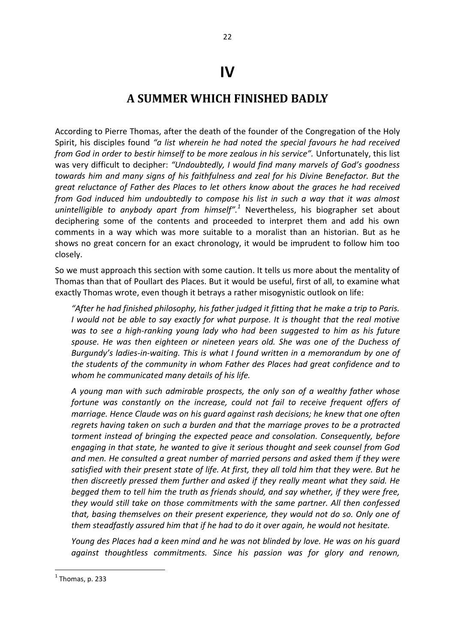## **IV**

## **A SUMMER WHICH FINISHED BADLY**

According to Pierre Thomas, after the death of the founder of the Congregation of the Holy Spirit, his disciples found *"a list wherein he had noted the special favours he had received from God in order to bestir himself to be more zealous in his service".* Unfortunately, this list was very difficult to decipher: *"Undoubtedly, I would find many marvels of God's goodness towards him and many signs of his faithfulness and zeal for his Divine Benefactor. But the great reluctance of Father des Places to let others know about the graces he had received from God induced him undoubtedly to compose his list in such a way that it was almost unintelligible to anybody apart from himself".<sup>1</sup>* Nevertheless, his biographer set about deciphering some of the contents and proceeded to interpret them and add his own comments in a way which was more suitable to a moralist than an historian. But as he shows no great concern for an exact chronology, it would be imprudent to follow him too closely.

So we must approach this section with some caution. It tells us more about the mentality of Thomas than that of Poullart des Places. But it would be useful, first of all, to examine what exactly Thomas wrote, even though it betrays a rather misogynistic outlook on life:

*"After he had finished philosophy, his father judged it fitting that he make a trip to Paris. I would not be able to say exactly for what purpose. It is thought that the real motive was to see a high-ranking young lady who had been suggested to him as his future spouse. He was then eighteen or nineteen years old. She was one of the Duchess of Burgundy's ladies-in-waiting. This is what I found written in a memorandum by one of the students of the community in whom Father des Places had great confidence and to whom he communicated many details of his life.* 

*A young man with such admirable prospects, the only son of a wealthy father whose fortune was constantly on the increase, could not fail to receive frequent offers of marriage. Hence Claude was on his guard against rash decisions; he knew that one often regrets having taken on such a burden and that the marriage proves to be a protracted torment instead of bringing the expected peace and consolation. Consequently, before engaging in that state, he wanted to give it serious thought and seek counsel from God and men. He consulted a great number of married persons and asked them if they were satisfied with their present state of life. At first, they all told him that they were. But he then discreetly pressed them further and asked if they really meant what they said. He begged them to tell him the truth as friends should, and say whether, if they were free, they would still take on those commitments with the same partner. All then confessed that, basing themselves on their present experience, they would not do so. Only one of them steadfastly assured him that if he had to do it over again, he would not hesitate.* 

*Young des Places had a keen mind and he was not blinded by love. He was on his guard against thoughtless commitments. Since his passion was for glory and renown,* 

 $<sup>1</sup>$  Thomas, p. 233</sup>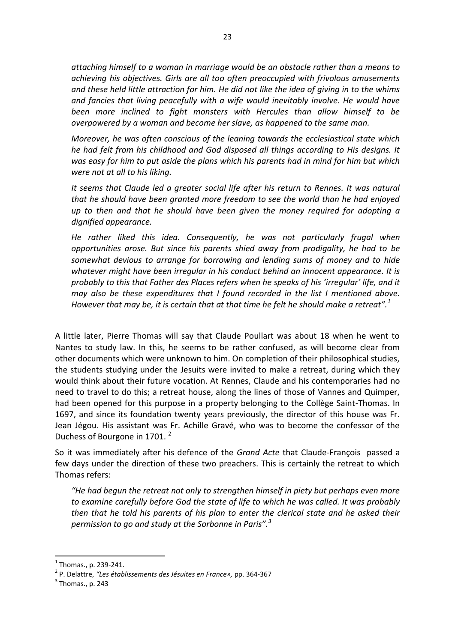*attaching himself to a woman in marriage would be an obstacle rather than a means to achieving his objectives. Girls are all too often preoccupied with frivolous amusements and these held little attraction for him. He did not like the idea of giving in to the whims and fancies that living peacefully with a wife would inevitably involve. He would have been more inclined to fight monsters with Hercules than allow himself to be overpowered by a woman and become her slave, as happened to the same man.* 

*Moreover, he was often conscious of the leaning towards the ecclesiastical state which he had felt from his childhood and God disposed all things according to His designs. It was easy for him to put aside the plans which his parents had in mind for him but which were not at all to his liking.* 

*It seems that Claude led a greater social life after his return to Rennes. It was natural that he should have been granted more freedom to see the world than he had enjoyed up to then and that he should have been given the money required for adopting a dignified appearance.* 

*He rather liked this idea. Consequently, he was not particularly frugal when opportunities arose. But since his parents shied away from prodigality, he had to be somewhat devious to arrange for borrowing and lending sums of money and to hide whatever might have been irregular in his conduct behind an innocent appearance. It is probably to this that Father des Places refers when he speaks of his 'irregular' life, and it may also be these expenditures that I found recorded in the list I mentioned above. However that may be, it is certain that at that time he felt he should make a retreat".<sup>1</sup>*

A little later, Pierre Thomas will say that Claude Poullart was about 18 when he went to Nantes to study law. In this, he seems to be rather confused, as will become clear from other documents which were unknown to him. On completion of their philosophical studies, the students studying under the Jesuits were invited to make a retreat, during which they would think about their future vocation. At Rennes, Claude and his contemporaries had no need to travel to do this; a retreat house, along the lines of those of Vannes and Quimper, had been opened for this purpose in a property belonging to the Collège Saint-Thomas. In 1697, and since its foundation twenty years previously, the director of this house was Fr. Jean Jégou. His assistant was Fr. Achille Gravé, who was to become the confessor of the Duchess of Bourgone in 1701.<sup>2</sup>

So it was immediately after his defence of the *Grand Acte* that Claude-François passed a few days under the direction of these two preachers. This is certainly the retreat to which Thomas refers:

*"He had begun the retreat not only to strengthen himself in piety but perhaps even more to examine carefully before God the state of life to which he was called. It was probably then that he told his parents of his plan to enter the clerical state and he asked their permission to go and study at the Sorbonne in Paris".<sup>3</sup>* 

 $<sup>1</sup>$  Thomas., p. 239-241.</sup>

<sup>2</sup> P. Delattre, *"Les établissements des Jésuites en France»,* pp. 364-367

 $<sup>3</sup>$  Thomas., p. 243</sup>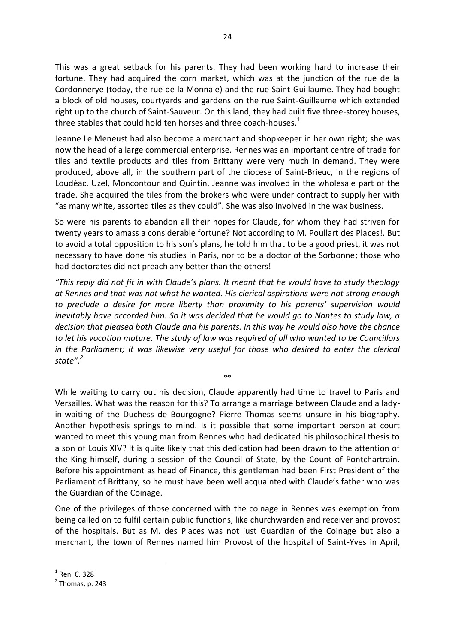This was a great setback for his parents. They had been working hard to increase their fortune. They had acquired the corn market, which was at the junction of the rue de la Cordonnerye (today, the rue de la Monnaie) and the rue Saint-Guillaume. They had bought a block of old houses, courtyards and gardens on the rue Saint-Guillaume which extended right up to the church of Saint-Sauveur. On this land, they had built five three-storey houses, three stables that could hold ten horses and three coach-houses.<sup>1</sup>

Jeanne Le Meneust had also become a merchant and shopkeeper in her own right; she was now the head of a large commercial enterprise. Rennes was an important centre of trade for tiles and textile products and tiles from Brittany were very much in demand. They were produced, above all, in the southern part of the diocese of Saint-Brieuc, in the regions of Loudéac, Uzel, Moncontour and Quintin. Jeanne was involved in the wholesale part of the trade. She acquired the tiles from the brokers who were under contract to supply her with "as many white, assorted tiles as they could". She was also involved in the wax business.

So were his parents to abandon all their hopes for Claude, for whom they had striven for twenty years to amass a considerable fortune? Not according to M. Poullart des Places!. But to avoid a total opposition to his son's plans, he told him that to be a good priest, it was not necessary to have done his studies in Paris, nor to be a doctor of the Sorbonne; those who had doctorates did not preach any better than the others!

*"This reply did not fit in with Claude's plans. It meant that he would have to study theology at Rennes and that was not what he wanted. His clerical aspirations were not strong enough to preclude a desire for more liberty than proximity to his parents' supervision would inevitably have accorded him. So it was decided that he would go to Nantes to study law, a decision that pleased both Claude and his parents. In this way he would also have the chance to let his vocation mature. The study of law was required of all who wanted to be Councillors in the Parliament; it was likewise very useful for those who desired to enter the clerical state".<sup>2</sup>*

∞

While waiting to carry out his decision, Claude apparently had time to travel to Paris and Versailles. What was the reason for this? To arrange a marriage between Claude and a ladyin-waiting of the Duchess de Bourgogne? Pierre Thomas seems unsure in his biography. Another hypothesis springs to mind. Is it possible that some important person at court wanted to meet this young man from Rennes who had dedicated his philosophical thesis to a son of Louis XIV? It is quite likely that this dedication had been drawn to the attention of the King himself, during a session of the Council of State, by the Count of Pontchartrain. Before his appointment as head of Finance, this gentleman had been First President of the Parliament of Brittany, so he must have been well acquainted with Claude's father who was the Guardian of the Coinage.

One of the privileges of those concerned with the coinage in Rennes was exemption from being called on to fulfil certain public functions, like churchwarden and receiver and provost of the hospitals. But as M. des Places was not just Guardian of the Coinage but also a merchant, the town of Rennes named him Provost of the hospital of Saint-Yves in April,

1

<sup>1</sup> Ren. C. 328

 $<sup>2</sup>$  Thomas, p. 243</sup>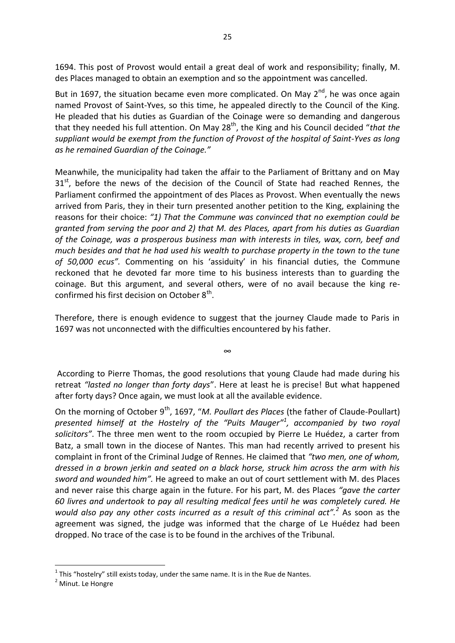1694. This post of Provost would entail a great deal of work and responsibility; finally, M. des Places managed to obtain an exemption and so the appointment was cancelled.

But in 1697, the situation became even more complicated. On May  $2^{nd}$ , he was once again named Provost of Saint-Yves, so this time, he appealed directly to the Council of the King. He pleaded that his duties as Guardian of the Coinage were so demanding and dangerous that they needed his full attention. On May 28<sup>th</sup>, the King and his Council decided "*that the suppliant would be exempt from the function of Provost of the hospital of Saint-Yves as long as he remained Guardian of the Coinage."*

Meanwhile, the municipality had taken the affair to the Parliament of Brittany and on May  $31<sup>st</sup>$ , before the news of the decision of the Council of State had reached Rennes, the Parliament confirmed the appointment of des Places as Provost. When eventually the news arrived from Paris, they in their turn presented another petition to the King, explaining the reasons for their choice: *"1) That the Commune was convinced that no exemption could be granted from serving the poor and 2) that M. des Places, apart from his duties as Guardian of the Coinage, was a prosperous business man with interests in tiles, wax, corn, beef and much besides and that he had used his wealth to purchase property in the town to the tune of 50,000 ecus".* Commenting on his 'assiduity' in his financial duties, the Commune reckoned that he devoted far more time to his business interests than to guarding the coinage. But this argument, and several others, were of no avail because the king reconfirmed his first decision on October  $8^{\text{th}}$ .

Therefore, there is enough evidence to suggest that the journey Claude made to Paris in 1697 was not unconnected with the difficulties encountered by his father.

∞

According to Pierre Thomas, the good resolutions that young Claude had made during his retreat *"lasted no longer than forty days*". Here at least he is precise! But what happened after forty days? Once again, we must look at all the available evidence.

On the morning of October 9<sup>th</sup>, 1697, "*M. Poullart des Places* (the father of Claude-Poullart) *presented himself at the Hostelry of the "Puits Mauger"<sup>1</sup> , accompanied by two royal solicitors"*. The three men went to the room occupied by Pierre Le Huédez, a carter from Batz, a small town in the diocese of Nantes. This man had recently arrived to present his complaint in front of the Criminal Judge of Rennes. He claimed that *"two men, one of whom, dressed in a brown jerkin and seated on a black horse, struck him across the arm with his sword and wounded him".* He agreed to make an out of court settlement with M. des Places and never raise this charge again in the future. For his part, M. des Places *"gave the carter 60 livres and undertook to pay all resulting medical fees until he was completely cured. He would also pay any other costs incurred as a result of this criminal act".<sup>2</sup>* As soon as the agreement was signed, the judge was informed that the charge of Le Huédez had been dropped. No trace of the case is to be found in the archives of the Tribunal.

1

 $<sup>1</sup>$  This "hostelry" still exists today, under the same name. It is in the Rue de Nantes.</sup>

<sup>&</sup>lt;sup>2</sup> Minut. Le Hongre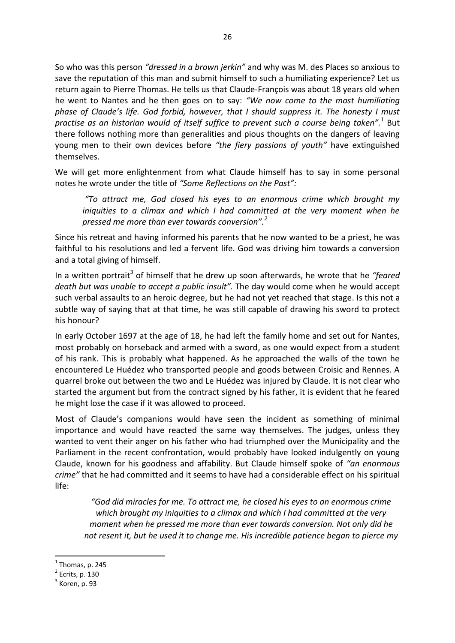So who was this person *"dressed in a brown jerkin"* and why was M. des Places so anxious to save the reputation of this man and submit himself to such a humiliating experience? Let us return again to Pierre Thomas. He tells us that Claude-François was about 18 years old when he went to Nantes and he then goes on to say: *"We now come to the most humiliating phase of Claude's life. God forbid, however, that I should suppress it. The honesty I must practise as an historian would of itself suffice to prevent such a course being taken".<sup>1</sup>* But there follows nothing more than generalities and pious thoughts on the dangers of leaving young men to their own devices before *"the fiery passions of youth"* have extinguished themselves.

We will get more enlightenment from what Claude himself has to say in some personal notes he wrote under the title of *"Some Reflections on the Past":*

*"To attract me, God closed his eyes to an enormous crime which brought my iniquities to a climax and which I had committed at the very moment when he pressed me more than ever towards conversion".<sup>2</sup>* 

Since his retreat and having informed his parents that he now wanted to be a priest, he was faithful to his resolutions and led a fervent life. God was driving him towards a conversion and a total giving of himself.

In a written portrait<sup>3</sup> of himself that he drew up soon afterwards, he wrote that he "feared *death but was unable to accept a public insult".* The day would come when he would accept such verbal assaults to an heroic degree, but he had not yet reached that stage. Is this not a subtle way of saying that at that time, he was still capable of drawing his sword to protect his honour?

In early October 1697 at the age of 18, he had left the family home and set out for Nantes, most probably on horseback and armed with a sword, as one would expect from a student of his rank. This is probably what happened. As he approached the walls of the town he encountered Le Huédez who transported people and goods between Croisic and Rennes. A quarrel broke out between the two and Le Huédez was injured by Claude. It is not clear who started the argument but from the contract signed by his father, it is evident that he feared he might lose the case if it was allowed to proceed.

Most of Claude's companions would have seen the incident as something of minimal importance and would have reacted the same way themselves. The judges, unless they wanted to vent their anger on his father who had triumphed over the Municipality and the Parliament in the recent confrontation, would probably have looked indulgently on young Claude, known for his goodness and affability. But Claude himself spoke of *"an enormous crime"* that he had committed and it seems to have had a considerable effect on his spiritual life:

*"God did miracles for me. To attract me, he closed his eyes to an enormous crime which brought my iniquities to a climax and which I had committed at the very moment when he pressed me more than ever towards conversion. Not only did he not resent it, but he used it to change me. His incredible patience began to pierce my* 

<sup>1</sup> Thomas, p. 245

 $<sup>2</sup>$  Ecrits, p. 130</sup>

 $3$  Koren, p. 93